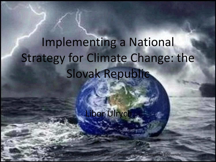# Implementing a National Strategy for Climate Change: the Slovak Republic

Libor Ulrych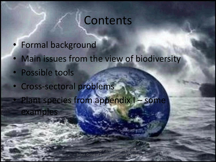### Contents

- Formal background
- Main issues from the view of biodiversity
- Possible tools
- Cross-sectoral problems
- Plant species from appendix I some examples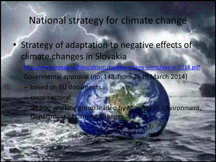#### National strategy for climate change

- Strategy of adaptation to negative effects of climate changes in Slovakia
	- <http://www.minzp.sk/files/oblasti/politika-zmeny-klimy/nas-sr-2014.pdf> Govermental approval (no. 148 from 26 th March 2014)
	- based on EU documents
		- cross-sectoral
	- ad hoc working group leaded by Ministry of Environment, Department of Climate Changes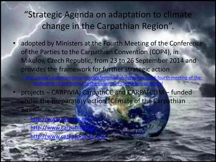"Strategic Agenda on adaptation to climate change in the Carpathian Region".

- adopted by Ministers at the Fourth Meeting of the Conference of the Parties to the Carpathian Convention (COP4), in Mikulov, Czech Republic, from 23 to 26 September 2014 and provides the framework for further strategic action
	- /www.carpathianconvention.org/eventdetailcop/events/cop4[-](http://www.carpathianconvention.org/eventdetailcop/events/cop4-fourth-meeting-of-the-conference-of-the-parties-to-the-carpathian-convention-copy.html)fourth-meeting-of-the--to-the-carpathian-convention-cop
- projects CARPIVIA, CarpathCC and CARPATCLIM funded under the preparatory action "Climate of the Carpathian Basin"
	- <http://www.carpivia.eu/>
	- http://www.carpathc
	- http://www.carpatclim-eu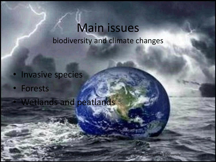### Main issues biodiversity and climate changes

- Invasive species
- Forests
	- Wetlands and peatlands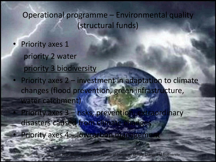#### Operational programme – Environmental quality (structural funds)

- Priority axes 1 priority 2 water priority 3 biodiversity
- Priority axes 2 investment in adaptation to climate changes (flood prevention, green infrastructure, water catchment)
	- Priority axes 3 risks, prevention, extraordinary disasters caused from climate chan
	- Priority axes 4 lowcarbon management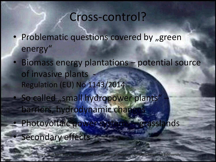### Cross-control?

- Problematic questions covered by "green energy"
- Biomass energy plantations potential source of invasive plants Regulation (EU) No 1143/2014 • So called "small hydropower plants" barriers, hydrodynamic change • Photovoltaic power systems – grasslands Secondary effects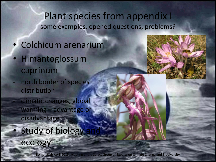#### Plant species from appendix I some examples, opened questions, problems?

- Colchicum arenarium
- Himantoglossum caprinum
- north border of species distribution
	- climatic changes, global warming – advantage or disadvantage?
	- Study of biology ecology